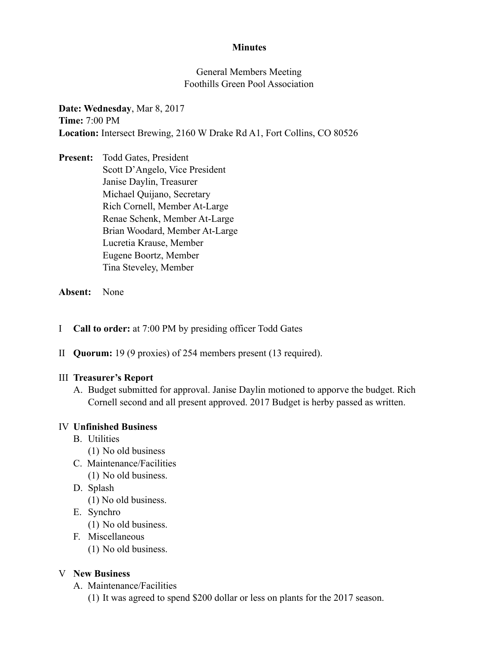### **Minutes**

### General Members Meeting Foothills Green Pool Association

**Date: Wednesday**, Mar 8, 2017 **Time:** 7:00 PM **Location:** Intersect Brewing, 2160 W Drake Rd A1, Fort Collins, CO 80526

**Present:** Todd Gates, President Scott D'Angelo, Vice President Janise Daylin, Treasurer Michael Quijano, Secretary Rich Cornell, Member At-Large Renae Schenk, Member At-Large Brian Woodard, Member At-Large Lucretia Krause, Member Eugene Boortz, Member Tina Steveley, Member

#### **Absent:** None

- I **Call to order:** at 7:00 PM by presiding officer Todd Gates
- II **Quorum:** 19 (9 proxies) of 254 members present (13 required).

#### III **Treasurer's Report**

A. Budget submitted for approval. Janise Daylin motioned to apporve the budget. Rich Cornell second and all present approved. 2017 Budget is herby passed as written.

#### IV **Unfinished Business**

- B. Utilities
	- (1) No old business
- C. Maintenance/Facilities
	- (1) No old business.
- D. Splash
	- (1) No old business.
- E. Synchro
	- (1) No old business.
- F. Miscellaneous
	- (1) No old business.

#### V **New Business**

- A. Maintenance/Facilities
	- (1) It was agreed to spend \$200 dollar or less on plants for the 2017 season.